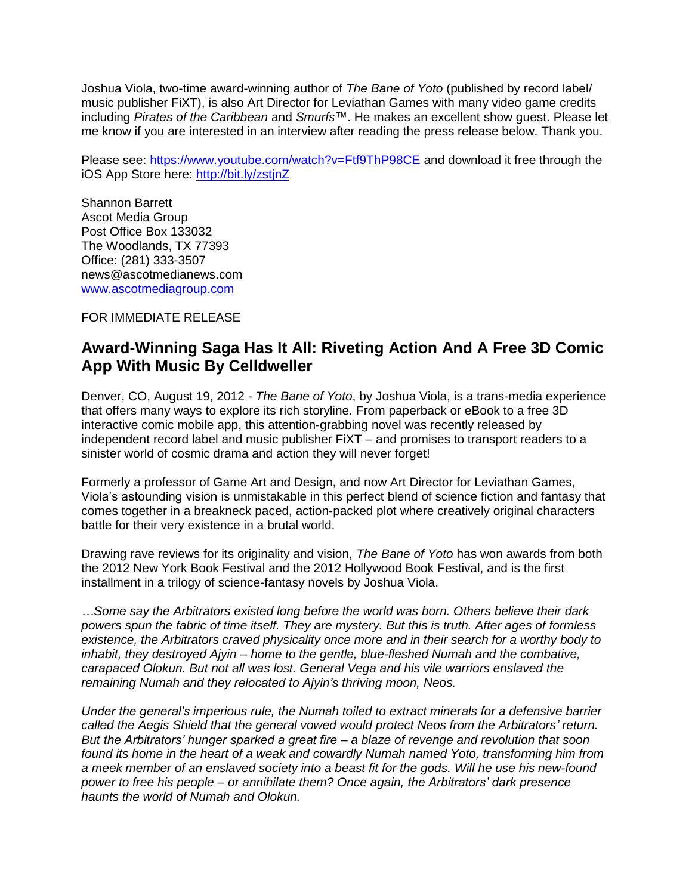Joshua Viola, two-time award-winning author of *The Bane of Yoto* (published by record label/ music publisher FiXT), is also Art Director for Leviathan Games with many video game credits including *Pirates of the Caribbean* and *Smurfs*™. He makes an excellent show guest. Please let me know if you are interested in an interview after reading the press release below. Thank you.

Please see:<https://www.youtube.com/watch?v=Ftf9ThP98CE> and download it free through the iOS App Store here:<http://bit.ly/zstjnZ>

Shannon Barrett Ascot Media Group Post Office Box 133032 The Woodlands, TX 77393 Office: (281) 333-3507 news@ascotmedianews.com [www.ascotmediagroup.com](http://www.ascotmediagroup.com/)

FOR IMMEDIATE RELEASE

## **Award-Winning Saga Has It All: Riveting Action And A Free 3D Comic App With Music By Celldweller**

Denver, CO, August 19, 2012 - *The Bane of Yoto*, by Joshua Viola, is a trans-media experience that offers many ways to explore its rich storyline. From paperback or eBook to a free 3D interactive comic mobile app, this attention-grabbing novel was recently released by independent record label and music publisher FiXT – and promises to transport readers to a sinister world of cosmic drama and action they will never forget!

Formerly a professor of Game Art and Design, and now Art Director for Leviathan Games, Viola's astounding vision is unmistakable in this perfect blend of science fiction and fantasy that comes together in a breakneck paced, action-packed plot where creatively original characters battle for their very existence in a brutal world.

Drawing rave reviews for its originality and vision, *The Bane of Yoto* has won awards from both the 2012 New York Book Festival and the 2012 Hollywood Book Festival, and is the first installment in a trilogy of science-fantasy novels by Joshua Viola.

*…Some say the Arbitrators existed long before the world was born. Others believe their dark powers spun the fabric of time itself. They are mystery. But this is truth. After ages of formless existence, the Arbitrators craved physicality once more and in their search for a worthy body to inhabit, they destroyed Ajyin – home to the gentle, blue-fleshed Numah and the combative, carapaced Olokun. But not all was lost. General Vega and his vile warriors enslaved the remaining Numah and they relocated to Ajyin's thriving moon, Neos.*

*Under the general's imperious rule, the Numah toiled to extract minerals for a defensive barrier called the Aegis Shield that the general vowed would protect Neos from the Arbitrators' return. But the Arbitrators' hunger sparked a great fire – a blaze of revenge and revolution that soon found its home in the heart of a weak and cowardly Numah named Yoto, transforming him from a meek member of an enslaved society into a beast fit for the gods. Will he use his new-found power to free his people – or annihilate them? Once again, the Arbitrators' dark presence haunts the world of Numah and Olokun.*